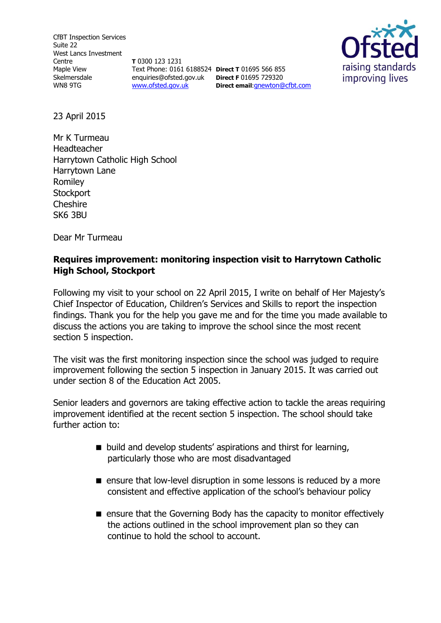CfBT Inspection Services Suite 22 West Lancs Investment Centre Maple View Skelmersdale WN8 9TG

**T** 0300 123 1231 Text Phone: 0161 6188524 **Direct T** 01695 566 855 enquiries@ofsted.gov.uk **Direct F** 01695 729320 [www.ofsted.gov.uk](http://www.ofsted.gov.uk/)

**Direct email**:[gnewton@cfbt.com](file:///C:/Users/gnewton/AppData/Local/Microsoft/Windows/Temporary%20Internet%20Files/Content.IE5/T7UIN0I5/gnewton@cfbt.com)



23 April 2015

Mr K Turmeau Headteacher Harrytown Catholic High School Harrytown Lane Romiley **Stockport Cheshire** SK6 3BU

Dear Mr Turmeau

### **Requires improvement: monitoring inspection visit to Harrytown Catholic High School, Stockport**

Following my visit to your school on 22 April 2015, I write on behalf of Her Majesty's Chief Inspector of Education, Children's Services and Skills to report the inspection findings. Thank you for the help you gave me and for the time you made available to discuss the actions you are taking to improve the school since the most recent section 5 inspection.

The visit was the first monitoring inspection since the school was judged to require improvement following the section 5 inspection in January 2015. It was carried out under section 8 of the Education Act 2005.

Senior leaders and governors are taking effective action to tackle the areas requiring improvement identified at the recent section 5 inspection. The school should take further action to:

- build and develop students' aspirations and thirst for learning, particularly those who are most disadvantaged
- **E** ensure that low-level disruption in some lessons is reduced by a more consistent and effective application of the school's behaviour policy
- $\blacksquare$  ensure that the Governing Body has the capacity to monitor effectively the actions outlined in the school improvement plan so they can continue to hold the school to account.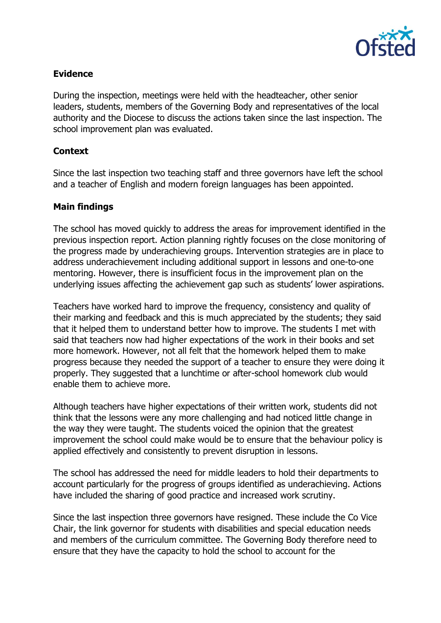

### **Evidence**

During the inspection, meetings were held with the headteacher, other senior leaders, students, members of the Governing Body and representatives of the local authority and the Diocese to discuss the actions taken since the last inspection. The school improvement plan was evaluated.

### **Context**

Since the last inspection two teaching staff and three governors have left the school and a teacher of English and modern foreign languages has been appointed.

## **Main findings**

The school has moved quickly to address the areas for improvement identified in the previous inspection report. Action planning rightly focuses on the close monitoring of the progress made by underachieving groups. Intervention strategies are in place to address underachievement including additional support in lessons and one-to-one mentoring. However, there is insufficient focus in the improvement plan on the underlying issues affecting the achievement gap such as students' lower aspirations.

Teachers have worked hard to improve the frequency, consistency and quality of their marking and feedback and this is much appreciated by the students; they said that it helped them to understand better how to improve. The students I met with said that teachers now had higher expectations of the work in their books and set more homework. However, not all felt that the homework helped them to make progress because they needed the support of a teacher to ensure they were doing it properly. They suggested that a lunchtime or after-school homework club would enable them to achieve more.

Although teachers have higher expectations of their written work, students did not think that the lessons were any more challenging and had noticed little change in the way they were taught. The students voiced the opinion that the greatest improvement the school could make would be to ensure that the behaviour policy is applied effectively and consistently to prevent disruption in lessons.

The school has addressed the need for middle leaders to hold their departments to account particularly for the progress of groups identified as underachieving. Actions have included the sharing of good practice and increased work scrutiny.

Since the last inspection three governors have resigned. These include the Co Vice Chair, the link governor for students with disabilities and special education needs and members of the curriculum committee. The Governing Body therefore need to ensure that they have the capacity to hold the school to account for the